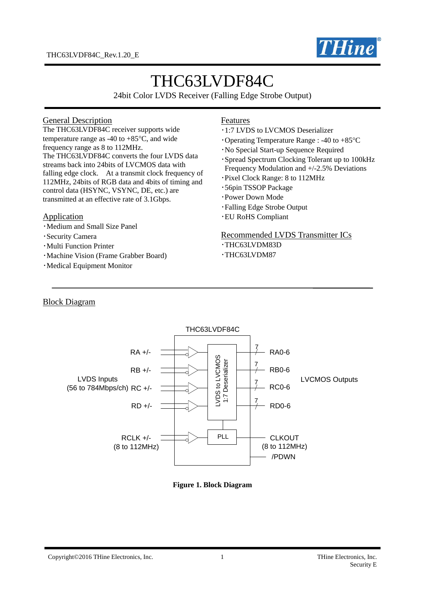

# THC63LVDF84C

24bit Color LVDS Receiver (Falling Edge Strobe Output)

#### General Description

The THC63LVDF84C receiver supports wide temperature range as -40 to  $+85^{\circ}$ C, and wide frequency range as 8 to 112MHz. The THC63LVDF84C converts the four LVDS data streams back into 24bits of LVCMOS data with falling edge clock. At a transmit clock frequency of 112MHz, 24bits of RGB data and 4bits of timing and control data (HSYNC, VSYNC, DE, etc.) are transmitted at an effective rate of 3.1Gbps.

#### Application

- ・Medium and Small Size Panel
- ・Security Camera
- ・Multi Function Printer
- ・Machine Vision (Frame Grabber Board)
- ・Medical Equipment Monitor

#### Features

- ・1:7 LVDS to LVCMOS Deserializer
- $\cdot$ Operating Temperature Range : -40 to +85 $\degree$ C
- ・No Special Start-up Sequence Required
- ・Spread Spectrum Clocking Tolerant up to 100kHz Frequency Modulation and +/-2.5% Deviations
- ・Pixel Clock Range: 8 to 112MHz
- ・56pin TSSOP Package
- ・Power Down Mode
- ・Falling Edge Strobe Output
- ・EU RoHS Compliant

#### Recommended LVDS Transmitter ICs

- ・THC63LVDM83D
- ・THC63LVDM87

#### Block Diagram



#### **Figure 1. Block Diagram**

#### Copyright©2016 THine Electronics, Inc. 1 1 THine Electronics, Inc. 1 THine Electronics, Inc.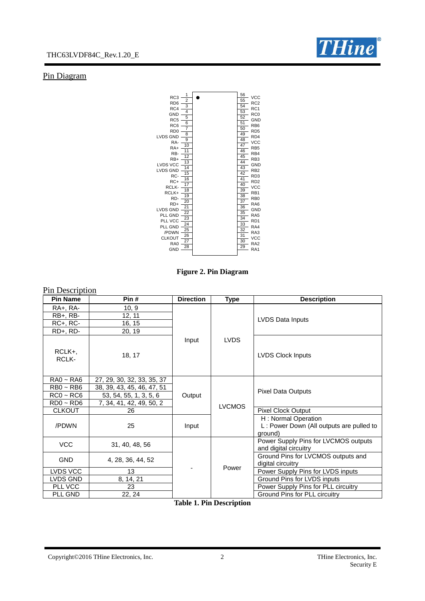

## Pin Diagram



**Figure 2. Pin Diagram**

| Pin Description                                                |                                                                                                                |                   |               |                                                                            |
|----------------------------------------------------------------|----------------------------------------------------------------------------------------------------------------|-------------------|---------------|----------------------------------------------------------------------------|
| <b>Pin Name</b>                                                | Pin#                                                                                                           | <b>Direction</b>  | <b>Type</b>   | <b>Description</b>                                                         |
| RA+, RA-                                                       | 10, 9                                                                                                          |                   |               |                                                                            |
| $RB+$ , $RB-$                                                  | 12, 11                                                                                                         |                   |               | LVDS Data Inputs                                                           |
| $RC+$ , $RC-$                                                  | 16, 15                                                                                                         |                   |               |                                                                            |
| RD+, RD-                                                       | 20, 19                                                                                                         |                   |               |                                                                            |
| RCLK+,<br><b>RCLK-</b>                                         | 18, 17                                                                                                         | Input             | <b>LVDS</b>   | <b>LVDS Clock Inputs</b>                                                   |
| $RA0 - RA6$<br>$RBO \sim RBG$<br>$RC0 - RC6$<br>$RDO \sim RDS$ | 27, 29, 30, 32, 33, 35, 37<br>38, 39, 43, 45, 46, 47, 51<br>53, 54, 55, 1, 3, 5, 6<br>7, 34, 41, 42, 49, 50, 2 | Output            | <b>LVCMOS</b> | Pixel Data Outputs                                                         |
| <b>CLKOUT</b>                                                  | 26                                                                                                             |                   |               | Pixel Clock Output                                                         |
| /PDWN                                                          | 25                                                                                                             | Input             |               | H: Normal Operation<br>L: Power Down (All outputs are pulled to<br>around) |
| <b>VCC</b>                                                     | 31, 40, 48, 56                                                                                                 |                   |               | Power Supply Pins for LVCMOS outputs<br>and digital circuitry              |
| <b>GND</b>                                                     | 4, 28, 36, 44, 52                                                                                              |                   | Power         | Ground Pins for LVCMOS outputs and<br>digital circuitry                    |
| LVDS VCC                                                       | 13                                                                                                             |                   |               | Power Supply Pins for LVDS inputs                                          |
| LVDS GND                                                       | 8, 14, 21                                                                                                      |                   |               | Ground Pins for LVDS inputs                                                |
| PLL VCC                                                        | 23                                                                                                             |                   |               | Power Supply Pins for PLL circuitry                                        |
| PLL GND                                                        | 22, 24                                                                                                         | <b>muu 4 mi 5</b> | $\cdot$       | Ground Pins for PLL circuitry                                              |

**Table 1. Pin Description**

Copyright©2016 THine Electronics, Inc. 2 THine Electronics, Inc.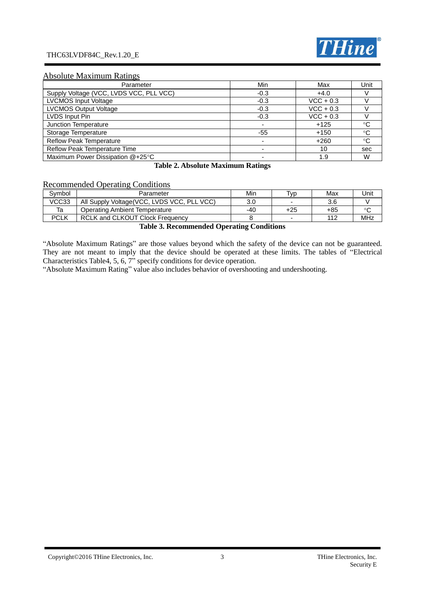#### THC63LVDF84C\_Rev.1.20\_E



#### Absolute Maximum Ratings

| Parameter                               | Min    | Max         | Unit         |
|-----------------------------------------|--------|-------------|--------------|
| Supply Voltage (VCC, LVDS VCC, PLL VCC) | $-0.3$ | $+4.0$      |              |
| <b>LVCMOS Input Voltage</b>             | $-0.3$ | $VCC + 0.3$ |              |
| <b>LVCMOS Output Voltage</b>            | $-0.3$ | $VCC + 0.3$ |              |
| LVDS Input Pin                          | $-0.3$ | $VCC + 0.3$ |              |
| Junction Temperature                    |        | $+125$      | °C           |
| Storage Temperature                     | $-55$  | $+150$      | $^{\circ}C$  |
| <b>Reflow Peak Temperature</b>          |        | $+260$      | $^{\circ}$ C |
| Reflow Peak Temperature Time            |        | 10          | sec          |
| Maximum Power Dissipation @+25°C        |        | 1.9         | W            |

#### **Table 2. Absolute Maximum Ratings**

#### Recommended Operating Conditions

| Svmbol | Parameter                                   | Min                             | Tvp | Max | Jnit |
|--------|---------------------------------------------|---------------------------------|-----|-----|------|
| VCC33  | All Supply Voltage (VCC, LVDS VCC, PLL VCC) | 3.0                             | -   | 3.6 |      |
| Ta     | Operating Ambient Temperature               | -40                             | +25 | +85 |      |
| PCLK   | <b>RCLK and CLKOUT Clock Frequency</b>      |                                 | -   | 112 | MHz  |
|        | $\cdots$<br><b>m</b> 11 <b>A m</b>          | $\cdots$<br>$\sim$<br>$\cdot$ . |     |     |      |

#### **Table 3. Recommended Operating Conditions**

"Absolute Maximum Ratings" are those values beyond which the safety of the device can not be guaranteed. They are not meant to imply that the device should be operated at these limits. The tables of "Electrical Characteristics Table4, 5, 6, 7" specify conditions for device operation.

"Absolute Maximum Rating" value also includes behavior of overshooting and undershooting.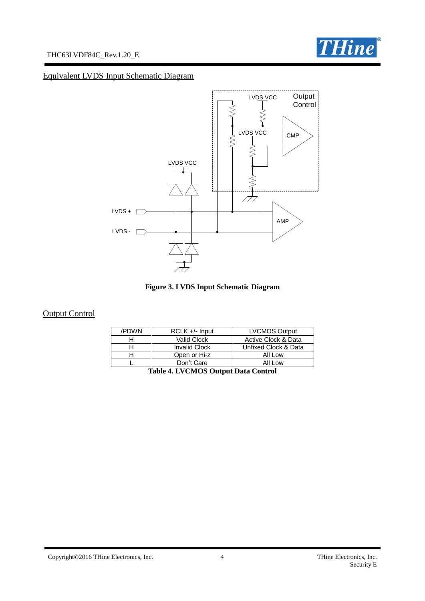



## Equivalent LVDS Input Schematic Diagram





## **Output Control**

| /PDWN | $RCLK +/-$ Input     | <b>LVCMOS Output</b> |
|-------|----------------------|----------------------|
|       | Valid Clock          | Active Clock & Data  |
|       | <b>Invalid Clock</b> | Unfixed Clock & Data |
|       | Open or Hi-z         | All Low              |
|       | Don't Care           | All Low              |

|  |  | Table 4. LVCMOS Output Data Control |  |
|--|--|-------------------------------------|--|
|--|--|-------------------------------------|--|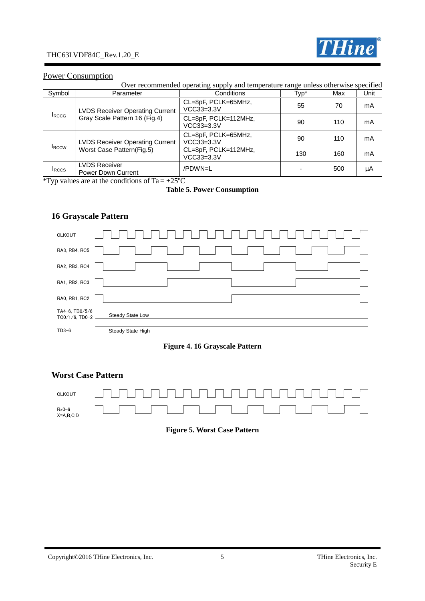

#### Power Consumption

Over recommended operating supply and temperature range unless otherwise specified

| Symbol        | Parameter                                         | Conditions                           | Typ* | Max | Unit |
|---------------|---------------------------------------------------|--------------------------------------|------|-----|------|
|               | <b>LVDS Receiver Operating Current</b>            | CL=8pF, PCLK=65MHz,<br>VCC33=3.3V    | 55   | 70  | mA   |
| <b>I</b> RCCG | Gray Scale Pattern 16 (Fig.4)                     | CL=8pF, PCLK=112MHz,<br>$VCC33=3.3V$ | 90   | 110 | mA   |
|               | <b>LVDS Receiver Operating Current</b>            | CL=8pF, PCLK=65MHz,<br>$VCC33=3.3V$  | 90   | 110 | mA   |
| <b>IRCCW</b>  | Worst Case Pattern(Fig.5)                         | CL=8pF, PCLK=112MHz,<br>VCC33=3.3V   | 130  | 160 | mA   |
| <b>I</b> RCCS | <b>LVDS Receiver</b><br><b>Power Down Current</b> | /PDWN=L                              |      | 500 | μA   |

\*Typ values are at the conditions of Ta =  $+25^{\circ}$ C

#### **Table 5. Power Consumption**

## **16 Grayscale Pattern**



#### **Figure 4. 16 Grayscale Pattern**

#### **Worst Case Pattern**



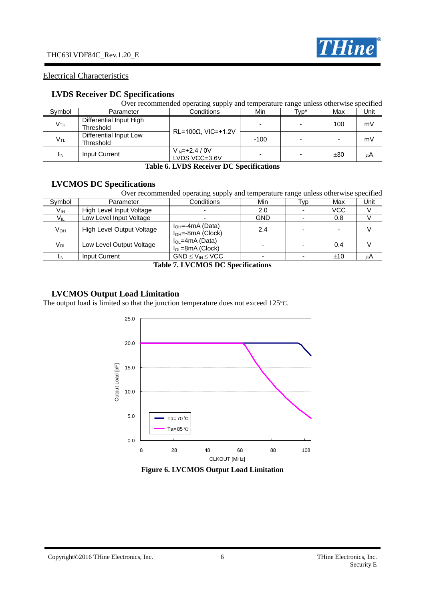

#### Electrical Characteristics

#### **LVDS Receiver DC Specifications**

|                 | Over recommended operating supply and temperature range unless otherwise specified |                                       |        |      |     |      |  |  |
|-----------------|------------------------------------------------------------------------------------|---------------------------------------|--------|------|-----|------|--|--|
| Symbol          | Parameter                                                                          | Conditions                            | Min    | Typ* | Max | Unit |  |  |
| V <sub>TH</sub> | Differential Input High<br>Threshold                                               | $RL=100\Omega$ , VIC=+1.2V            |        |      | 100 | mV   |  |  |
| V <sub>TL</sub> | Differential Input Low<br>Threshold                                                |                                       | $-100$ |      |     | mV   |  |  |
| <b>I</b> IN     | Input Current                                                                      | $V_{IN} = +2.4 / 0V$<br>LVDS VCC=3.6V |        |      | ±30 | μA   |  |  |

#### **Table 6. LVDS Receiver DC Specifications**

## **LVCMOS DC Specifications**

|                 | Over recommended operating supply and temperature range unless otherwise specified |                                                   |            |      |     |      |  |
|-----------------|------------------------------------------------------------------------------------|---------------------------------------------------|------------|------|-----|------|--|
| Symbol          | Parameter                                                                          | Conditions                                        | Min        | Typ. | Max | Unit |  |
| Vıн             | High Level Input Voltage                                                           |                                                   | 2.0        |      | VCC |      |  |
| V <sub>IL</sub> | Low Level Input Voltage                                                            |                                                   | <b>GND</b> |      | 0.8 |      |  |
| $V_{OH}$        | High Level Output Voltage                                                          | $I_{OH} = -4mA (Data)$<br>$I_{OH} = -8mA$ (Clock) | 2.4        |      |     |      |  |
| Vol             | Low Level Output Voltage                                                           | $I_{OL}$ =4mA (Data)<br>$I_{OL}$ =8mA (Clock)     |            |      | 0.4 |      |  |
| <b>I</b> IN     | Input Current                                                                      | $GND \leq V_{IN} \leq VCC$                        |            |      | ±10 | uΑ   |  |

#### **Table 7. LVCMOS DC Specifications**

#### **LVCMOS Output Load Limitation**

The output load is limited so that the junction temperature does not exceed 125°C.



**Figure 6. LVCMOS Output Load Limitation**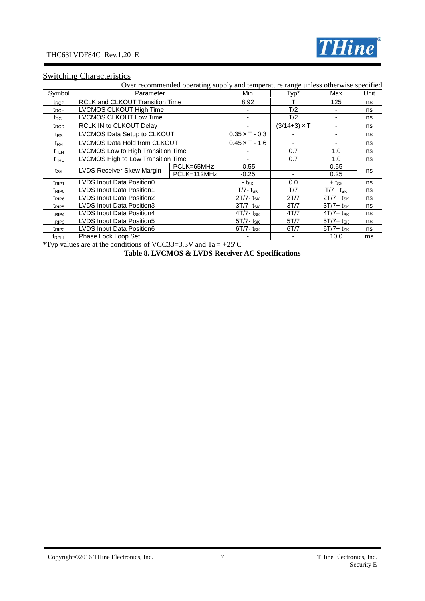

## **Switching Characteristics**

|                          |                                        | Over recommended operating supply and temperature range unless otherwise specified |                          |                     |                          |    |
|--------------------------|----------------------------------------|------------------------------------------------------------------------------------|--------------------------|---------------------|--------------------------|----|
| Symbol                   | Parameter                              | Min                                                                                | Typ*                     | Max                 | Unit                     |    |
| $t_{\mathsf{RCP}}$       | <b>RCLK and CLKOUT Transition Time</b> |                                                                                    | 8.92                     |                     | 125                      | ns |
| $t_{\mathsf{RCH}}$       | LVCMOS CLKOUT High Time                |                                                                                    |                          | T/2                 |                          | ns |
| $t_{\sf RCL}$            | LVCMOS CLKOUT Low Time                 |                                                                                    |                          | T/2                 | $\overline{\phantom{a}}$ | ns |
| t <sub>RCD</sub>         | RCLK IN to CLKOUT Delay                |                                                                                    |                          | $(3/14+3) \times T$ |                          | ns |
| $t_{\mathsf{RS}}$        | LVCMOS Data Setup to CLKOUT            |                                                                                    | $0.35 \times T - 0.3$    |                     |                          | ns |
| t <sub>RH</sub>          | LVCMOS Data Hold from CLKOUT           |                                                                                    | $0.45 \times T - 1.6$    |                     | ٠                        | ns |
| $t_{\text{TLH}}$         | LVCMOS Low to High Transition Time     |                                                                                    |                          | 0.7                 | 1.0                      | ns |
| t <sub>thl</sub>         | LVCMOS High to Low Transition Time     |                                                                                    |                          | 0.7                 | 1.0                      | ns |
|                          |                                        | PCLK=65MHz                                                                         | $-0.55$                  |                     | 0.55                     |    |
| tsk                      |                                        | LVDS Receiver Skew Margin<br>PCLK=112MHz<br>$-0.25$                                | 0.25                     | ns                  |                          |    |
| $t_{\mathsf{RIP1}}$      | LVDS Input Data Position0              |                                                                                    | - t <sub>sk</sub>        | 0.0                 | + t <sub>sk</sub>        | ns |
| $t_{\mathsf{RIP}0}$      | <b>LVDS Input Data Position1</b>       |                                                                                    | $T/7 - t_{SK}$           | T/7                 | $T/7+ t_{SK}$            | ns |
| t <sub>RIP6</sub>        | LVDS Input Data Position2              |                                                                                    | $2T/7 - t_{SK}$          | 2T/7                | $2T/7+ t_{SK}$           | ns |
| t <sub>RIP5</sub>        | LVDS Input Data Position3              |                                                                                    | $3T/7 - t_{SK}$          | 3T/7                | $3T/7+ t_{SK}$           | ns |
| t <sub>RIP4</sub>        | LVDS Input Data Position4              |                                                                                    | $4T/7 - t_{SK}$          | 4T/7                | $4T/7 + t_{SK}$          | ns |
| $t_{RIP3}$               | LVDS Input Data Position5              |                                                                                    | $5T/7$ - t <sub>SK</sub> | 5T/7                | $5T/7+ t_{SK}$           | ns |
| t <sub>RIP2</sub>        | LVDS Input Data Position6              |                                                                                    | $6T/7 - t_{SK}$          | 6T/7                | $6T/7+$ tsk              | ns |
| <b>t</b> <sub>RPLL</sub> | Phase Lock Loop Set                    |                                                                                    |                          |                     | 10.0                     | ms |

\*Typ values are at the conditions of VCC33=3.3V and Ta =  $+25^{\circ}$ C

**Table 8. LVCMOS & LVDS Receiver AC Specifications**

Copyright©2016 THine Electronics, Inc. 7 7 THine Electronics, Inc.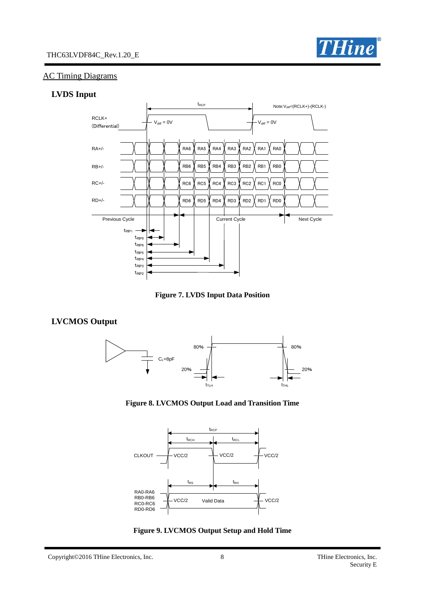



#### AC Timing Diagrams

#### **LVDS Input**



**Figure 7. LVDS Input Data Position**

#### **LVCMOS Output**









Copyright©2016 THine Electronics, Inc. 8 THine Electronics, Inc.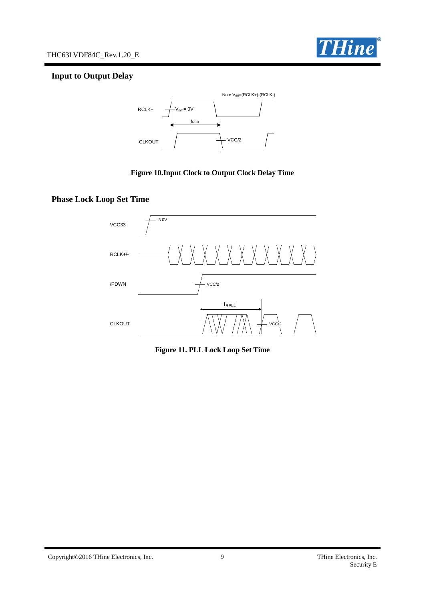

## **Input to Output Delay**



#### **Figure 10.Input Clock to Output Clock Delay Time**

## **Phase Lock Loop Set Time**



**Figure 11. PLL Lock Loop Set Time**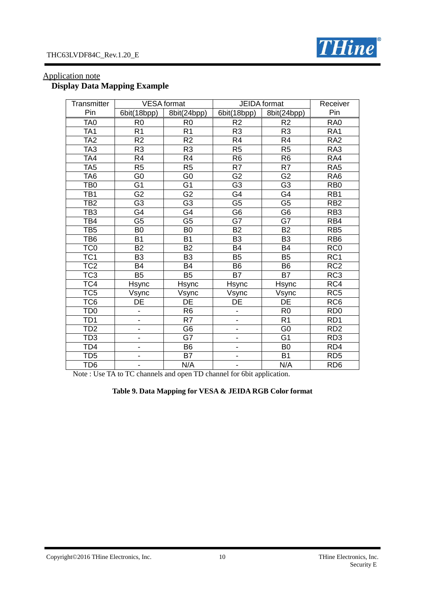

#### THC63LVDF84C\_Rev.1.20\_E

| Transmitter      |                          | <b>VESA</b> format       |                              | <b>JEIDA</b> format      | Receiver                    |
|------------------|--------------------------|--------------------------|------------------------------|--------------------------|-----------------------------|
| Pin              | 6bit(18bpp)              | 8bit(24bpp)              | 6bit(18bpp)                  | 8bit(24bpp)              | Pin                         |
| TA <sub>0</sub>  | R <sub>0</sub>           | R <sub>0</sub>           | R <sub>2</sub>               | R <sub>2</sub>           | RA <sub>0</sub>             |
| TA <sub>1</sub>  | R <sub>1</sub>           | R <sub>1</sub>           | R <sub>3</sub>               | R <sub>3</sub>           | RA <sub>1</sub>             |
| TÃ <sub>2</sub>  | $\overline{R2}$          | R <sub>2</sub>           | R4                           | R <sub>4</sub>           | RA <sub>2</sub>             |
| TA <sub>3</sub>  | R <sub>3</sub>           | R <sub>3</sub>           | R <sub>5</sub>               | R <sub>5</sub>           | RA3                         |
| TA4              | R <sub>4</sub>           | R4                       | R <sub>6</sub>               | R <sub>6</sub>           | RA4                         |
| $\overline{TA5}$ | $\overline{R5}$          | $\overline{R5}$          | $\overline{R7}$              | $\overline{R7}$          | RA <sub>5</sub>             |
| TA <sub>6</sub>  | G <sub>0</sub>           | G <sub>0</sub>           | $\overline{G2}$              | G <sub>2</sub>           | RA <sub>6</sub>             |
| TB <sub>0</sub>  | $\overline{G1}$          | $\overline{G1}$          | $\overline{G3}$              | $\overline{G3}$          | RB <sub>0</sub>             |
| TB <sub>1</sub>  | G <sub>2</sub>           | G <sub>2</sub>           | G4                           | G4                       | RB1                         |
| TB <sub>2</sub>  | $\overline{G3}$          | $\overline{G3}$          | $\overline{G5}$              | $\overline{\mathsf{G5}}$ | RB <sub>2</sub>             |
| TB <sub>3</sub>  | G4                       | G4                       | G <sub>6</sub>               | G <sub>6</sub>           | RB <sub>3</sub>             |
| TB4              | $\overline{\mathsf{G5}}$ | $\overline{\mathsf{G5}}$ | $\overline{\mathsf{G7}}$     | $\overline{G7}$          | RB4                         |
| TB <sub>5</sub>  | B <sub>0</sub>           | B <sub>0</sub>           | <b>B2</b>                    | <b>B2</b>                | RB <sub>5</sub>             |
| TB <sub>6</sub>  | <b>B1</b>                | B <sub>1</sub>           | B <sub>3</sub>               | B <sub>3</sub>           | RB <sub>6</sub>             |
| TC <sub>0</sub>  | <b>B2</b>                | <b>B2</b>                | B4                           | <b>B4</b>                | RC <sub>0</sub>             |
| TC <sub>1</sub>  | B <sub>3</sub>           | B <sub>3</sub>           | <b>B5</b>                    | <b>B5</b>                | $\overline{RC1}$            |
| TC <sub>2</sub>  | <b>B4</b>                | <b>B4</b>                | B <sub>6</sub>               | B <sub>6</sub>           | RC2                         |
| TC <sub>3</sub>  | <b>B5</b>                | <b>B5</b>                | <b>B7</b>                    | <b>B7</b>                | RC <sub>3</sub>             |
| TC4              | <b>Hsync</b>             | <b>Hsync</b>             | Hsync                        | <b>Hsync</b>             | RC4                         |
| TC <sub>5</sub>  | Vsync                    | Vsync                    | Vsync                        | Vsync                    | RC <sub>5</sub>             |
| TC <sub>6</sub>  | $\overline{\mathsf{DE}}$ | $\overline{\mathsf{DE}}$ | DE                           | $\overline{DE}$          | RC6                         |
| TD <sub>0</sub>  | -                        | R <sub>6</sub>           | $\qquad \qquad \blacksquare$ | R <sub>0</sub>           | R <sub>D</sub> <sub>0</sub> |
| TD <sub>1</sub>  | $\overline{\phantom{0}}$ | R7                       | $\qquad \qquad \blacksquare$ | R <sub>1</sub>           | RD <sub>1</sub>             |
| TD <sub>2</sub>  | $\overline{\phantom{0}}$ | $\overline{G6}$          | $\qquad \qquad \blacksquare$ | G <sub>0</sub>           | RD <sub>2</sub>             |
| TD <sub>3</sub>  | $\overline{\phantom{0}}$ | G7                       | $\overline{\phantom{a}}$     | G <sub>1</sub>           | RD <sub>3</sub>             |
| TD <sub>4</sub>  | ÷,                       | B <sub>6</sub>           | -                            | B <sub>0</sub>           | RD4                         |
| TD <sub>5</sub>  | -                        | <b>B7</b>                | $\qquad \qquad \blacksquare$ | B <sub>1</sub>           | RD <sub>5</sub>             |
| TD <sub>6</sub>  | $\blacksquare$           | N/A                      | -                            | N/A                      | RD <sub>6</sub>             |

## Application note **Display Data Mapping Example**

Note : Use TA to TC channels and open TD channel for 6bit application.

## **Table 9. Data Mapping for VESA & JEIDA RGB Color format**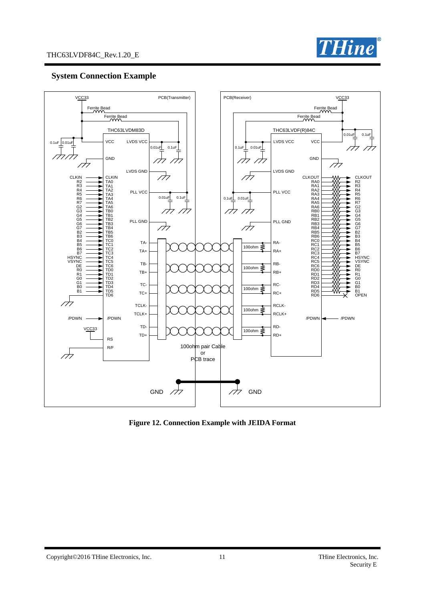

#### **System Connection Example**



**Figure 12. Connection Example with JEIDA Format**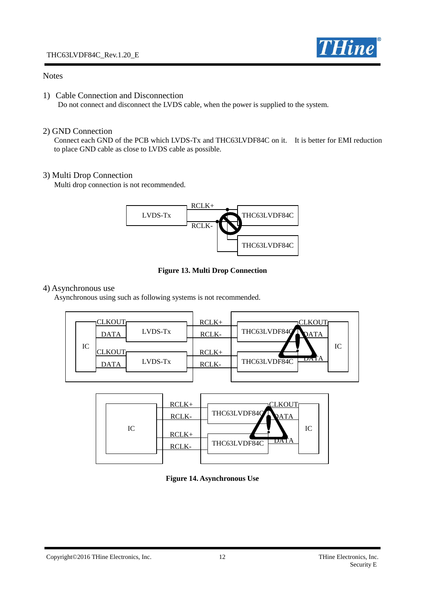

#### **Notes**

1) Cable Connection and Disconnection

Do not connect and disconnect the LVDS cable, when the power is supplied to the system.

#### 2) GND Connection

 Connect each GND of the PCB which LVDS-Tx and THC63LVDF84C on it. It is better for EMI reduction to place GND cable as close to LVDS cable as possible.

#### 3) Multi Drop Connection

Multi drop connection is not recommended.



**Figure 13. Multi Drop Connection**

#### 4) Asynchronous use

Asynchronous using such as following systems is not recommended.



|  |  | IC | $RCLK+$<br>RCLK-<br>$RCLK+$<br>RCLK- | CLKOUT<br>THC63LVDF84C<br>ATA<br>IC<br>DAI<br>THC63LVDF84C |
|--|--|----|--------------------------------------|------------------------------------------------------------|
|--|--|----|--------------------------------------|------------------------------------------------------------|

#### **Figure 14. Asynchronous Use**

Copyright©2016 THine Electronics, Inc. 12 THine Electronics, Inc. 12 THine Electronics, Inc.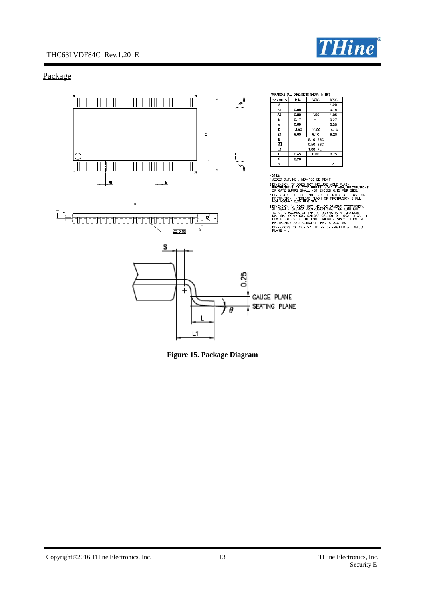## THC63LVDF84C\_Rev.1.20\_E



## Package



**Figure 15. Package Diagram**

Copyright©2016 THine Electronics, Inc. 13 THine Electronics, Inc. 13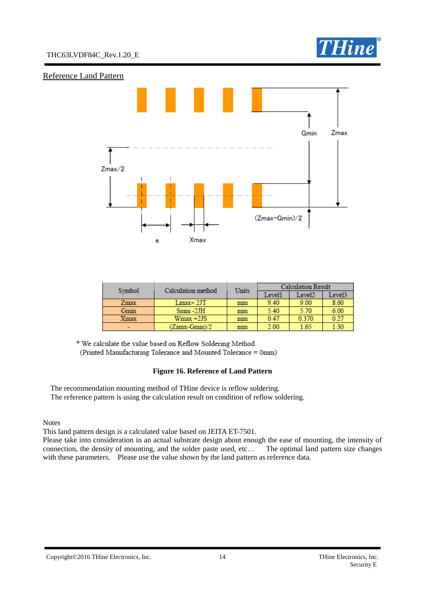

#### Reference Land Pattern



| Symbol | Calculation method | Units | <b>Calculation Result</b> |                    |        |
|--------|--------------------|-------|---------------------------|--------------------|--------|
|        |                    |       | Level1                    | Level <sub>2</sub> | Level3 |
| Zmax   | $Lmax+2JT$         | mm    | 9.40                      | 9.00               | 8.60   |
| Gmin   | $Smin -2JH$        | mm    | 5.40                      | 5.70               | 6.00   |
| Xmax   | $Wmax +2JS$        | mm    | 0.47                      | 0.370              | 0.27   |
|        | (Zamx-Gmin)/2      | mm    | 2.00                      | 1.65               | 1.30   |

\* We calculate the value based on Reflow Soldering Method. (Printed Manufacturing Tolerance and Mounted Tolerance = 0mm)

#### **Figure 16. Reference of Land Pattern**

The recommendation mounting method of THine device is reflow soldering. The reference pattern is using the calculation result on condition of reflow soldering.

**Notes** 

This land pattern design is a calculated value based on JEITA ET-7501.

Please take into consideration in an actual substrate design about enough the ease of mounting, the intensity of connection, the density of mounting, and the solder paste used, etc… The optimal land pattern size changes with these parameters. Please use the value shown by the land pattern as reference data.